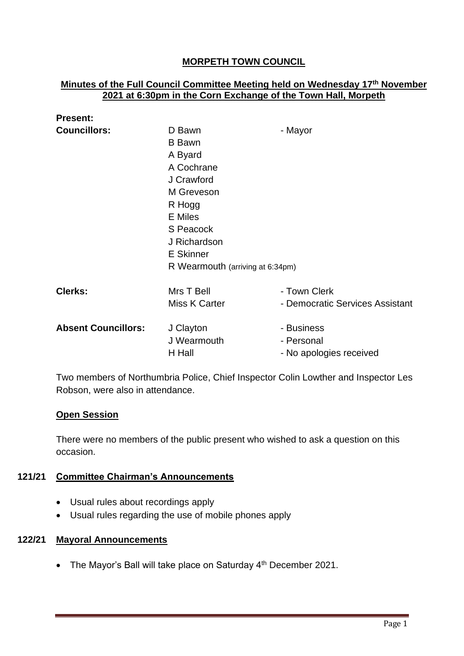# **MORPETH TOWN COUNCIL**

### **Minutes of the Full Council Committee Meeting held on Wednesday 17 th November 2021 at 6:30pm in the Corn Exchange of the Town Hall, Morpeth**

| D Bawn                           | - Mayor                            |
|----------------------------------|------------------------------------|
| <b>B</b> Bawn                    |                                    |
| A Byard                          |                                    |
| A Cochrane                       |                                    |
| J Crawford                       |                                    |
| M Greveson                       |                                    |
| R Hogg                           |                                    |
| <b>E</b> Miles                   |                                    |
| S Peacock                        |                                    |
| J Richardson                     |                                    |
| <b>E</b> Skinner                 |                                    |
| R Wearmouth (arriving at 6:34pm) |                                    |
|                                  | - Town Clerk                       |
|                                  | - Democratic Services Assistant    |
|                                  |                                    |
| J Clayton                        | - Business                         |
| J Wearmouth                      | - Personal                         |
| H Hall                           | - No apologies received            |
|                                  | Mrs T Bell<br><b>Miss K Carter</b> |

Two members of Northumbria Police, Chief Inspector Colin Lowther and Inspector Les Robson, were also in attendance.

### **Open Session**

There were no members of the public present who wished to ask a question on this occasion.

## **121/21 Committee Chairman's Announcements**

- Usual rules about recordings apply
- Usual rules regarding the use of mobile phones apply

### **122/21 Mayoral Announcements**

• The Mayor's Ball will take place on Saturday 4<sup>th</sup> December 2021.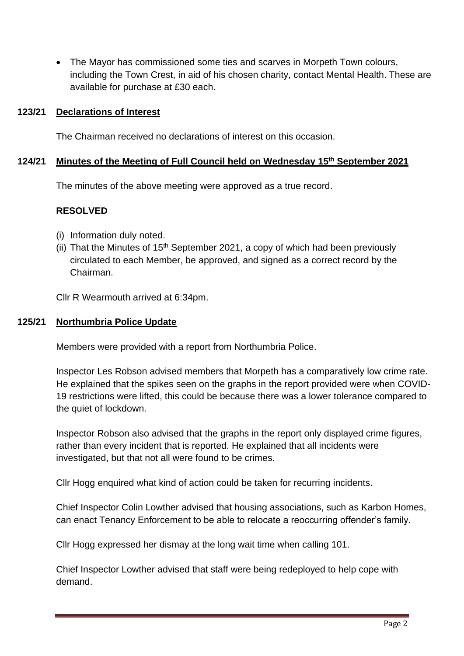• The Mayor has commissioned some ties and scarves in Morpeth Town colours, including the Town Crest, in aid of his chosen charity, contact Mental Health. These are available for purchase at £30 each.

### **123/21 Declarations of Interest**

The Chairman received no declarations of interest on this occasion.

## **124/21 Minutes of the Meeting of Full Council held on Wednesday 15th September 2021**

The minutes of the above meeting were approved as a true record.

### **RESOLVED**

- (i) Information duly noted.
- (ii) That the Minutes of  $15<sup>th</sup>$  September 2021, a copy of which had been previously circulated to each Member, be approved, and signed as a correct record by the Chairman.

Cllr R Wearmouth arrived at 6:34pm.

#### **125/21 Northumbria Police Update**

Members were provided with a report from Northumbria Police.

Inspector Les Robson advised members that Morpeth has a comparatively low crime rate. He explained that the spikes seen on the graphs in the report provided were when COVID-19 restrictions were lifted, this could be because there was a lower tolerance compared to the quiet of lockdown.

Inspector Robson also advised that the graphs in the report only displayed crime figures, rather than every incident that is reported. He explained that all incidents were investigated, but that not all were found to be crimes.

Cllr Hogg enquired what kind of action could be taken for recurring incidents.

Chief Inspector Colin Lowther advised that housing associations, such as Karbon Homes, can enact Tenancy Enforcement to be able to relocate a reoccurring offender's family.

Cllr Hogg expressed her dismay at the long wait time when calling 101.

Chief Inspector Lowther advised that staff were being redeployed to help cope with demand.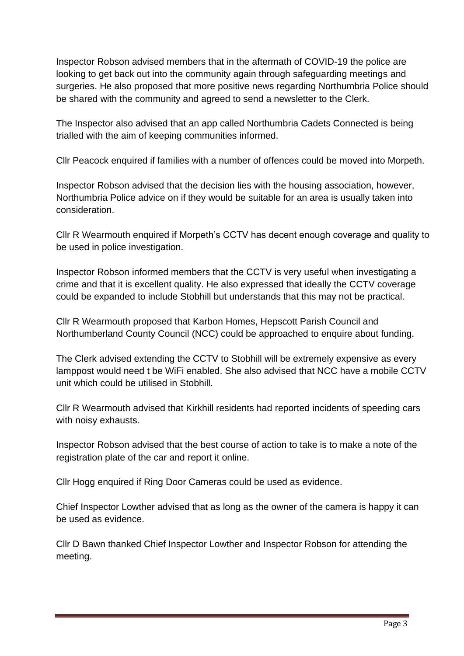Inspector Robson advised members that in the aftermath of COVID-19 the police are looking to get back out into the community again through safeguarding meetings and surgeries. He also proposed that more positive news regarding Northumbria Police should be shared with the community and agreed to send a newsletter to the Clerk.

The Inspector also advised that an app called Northumbria Cadets Connected is being trialled with the aim of keeping communities informed.

Cllr Peacock enquired if families with a number of offences could be moved into Morpeth.

Inspector Robson advised that the decision lies with the housing association, however, Northumbria Police advice on if they would be suitable for an area is usually taken into consideration.

Cllr R Wearmouth enquired if Morpeth's CCTV has decent enough coverage and quality to be used in police investigation.

Inspector Robson informed members that the CCTV is very useful when investigating a crime and that it is excellent quality. He also expressed that ideally the CCTV coverage could be expanded to include Stobhill but understands that this may not be practical.

Cllr R Wearmouth proposed that Karbon Homes, Hepscott Parish Council and Northumberland County Council (NCC) could be approached to enquire about funding.

The Clerk advised extending the CCTV to Stobhill will be extremely expensive as every lamppost would need t be WiFi enabled. She also advised that NCC have a mobile CCTV unit which could be utilised in Stobhill.

Cllr R Wearmouth advised that Kirkhill residents had reported incidents of speeding cars with noisy exhausts.

Inspector Robson advised that the best course of action to take is to make a note of the registration plate of the car and report it online.

Cllr Hogg enquired if Ring Door Cameras could be used as evidence.

Chief Inspector Lowther advised that as long as the owner of the camera is happy it can be used as evidence.

Cllr D Bawn thanked Chief Inspector Lowther and Inspector Robson for attending the meeting.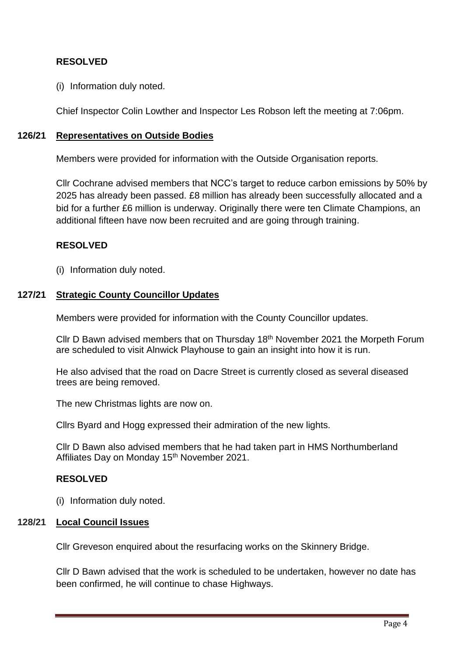## **RESOLVED**

(i) Information duly noted.

Chief Inspector Colin Lowther and Inspector Les Robson left the meeting at 7:06pm.

### **126/21 Representatives on Outside Bodies**

Members were provided for information with the Outside Organisation reports.

Cllr Cochrane advised members that NCC's target to reduce carbon emissions by 50% by 2025 has already been passed. £8 million has already been successfully allocated and a bid for a further £6 million is underway. Originally there were ten Climate Champions, an additional fifteen have now been recruited and are going through training.

### **RESOLVED**

(i) Information duly noted.

### **127/21 Strategic County Councillor Updates**

Members were provided for information with the County Councillor updates.

Cllr D Bawn advised members that on Thursday 18th November 2021 the Morpeth Forum are scheduled to visit Alnwick Playhouse to gain an insight into how it is run.

He also advised that the road on Dacre Street is currently closed as several diseased trees are being removed.

The new Christmas lights are now on.

Cllrs Byard and Hogg expressed their admiration of the new lights.

Cllr D Bawn also advised members that he had taken part in HMS Northumberland Affiliates Day on Monday 15<sup>th</sup> November 2021.

### **RESOLVED**

(i) Information duly noted.

### **128/21 Local Council Issues**

Cllr Greveson enquired about the resurfacing works on the Skinnery Bridge.

Cllr D Bawn advised that the work is scheduled to be undertaken, however no date has been confirmed, he will continue to chase Highways.